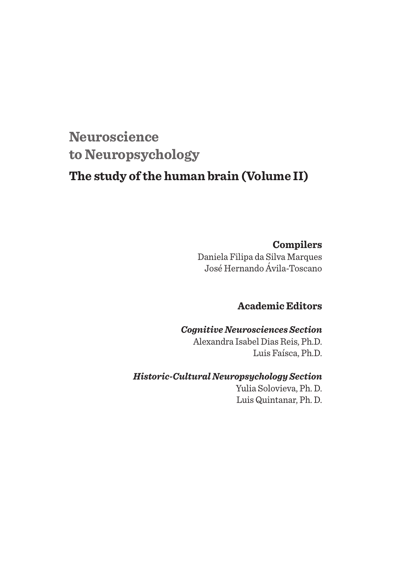# **Neuroscience to Neuropsychology**

# **The study of the human brain (Volume II)**

### **Compilers**

Daniela Filipa da Silva Marques José Hernando Ávila-Toscano

### **Academic Editors**

#### *Cognitive Neurosciences Section*

Alexandra Isabel Dias Reis, Ph.D. Luis Faísca, Ph.D.

### *Historic-Cultural Neuropsychology Section*

Yulia Solovieva, Ph. D. Luis Quintanar, Ph. D.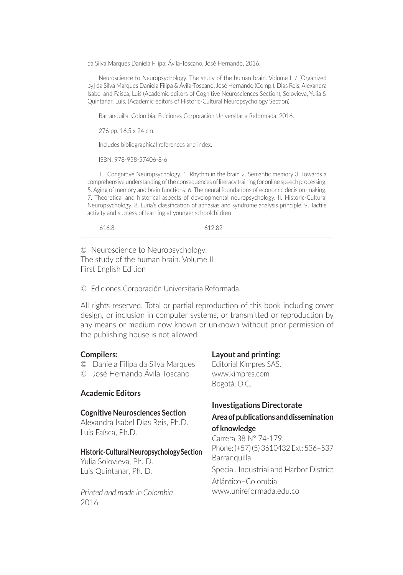da Silva Marques Daniela Filipa; Ávila-Toscano, José Hernando, 2016.

Neuroscience to Neuropsychology. The study of the human brain. Volume II / [Organized by] da Silva Marques Daniela Filipa & Ávila-Toscano, José Hernando (Comp.). Dias Reis, Alexandra Isabel and Faísca, Luis (Academic editors of Cognitive Neurosciences Section); Solovieva, Yulia & Quintanar, Luis. (Academic editors of Historic-Cultural Neuropsychology Section)

Barranquilla, Colombia: Ediciones Corporación Universitaria Reformada, 2016.

276 pp. 16,5 x 24 cm.

Includes bibliographical references and index.

ISBN: 978-958-57406-8-6

I. . Congnitive Neuropsychology. 1. Rhythm in the brain 2. Semantic memory 3. Towards a comprehensive understanding of the consequences of literacy training for online speech processing. 5. Aging of memory and brain functions. 6. The neural foundations of economic decision-making. 7. Theoretical and historical aspects of developmental neuropsychology. II. Historic-Cultural Neuropsychology. 8. Luria's classification of aphasias and syndrome analysis principle. 9. Tactile activity and success of learning at younger schoolchildren

616.8 612.82

© Neuroscience to Neuropsychology. The study of the human brain. Volume II First English Edition

© Ediciones Corporación Universitaria Reformada.

All rights reserved. Total or partial reproduction of this book including cover design, or inclusion in computer systems, or transmitted or reproduction by any means or medium now known or unknown without prior permission of the publishing house is not allowed.

#### **Compilers:**

- © Daniela Filipa da Silva Marques
- © José Hernando Ávila-Toscano

#### **Academic Editors**

#### **Cognitive Neurosciences Section**

Alexandra Isabel Dias Reis, Ph.D. Luis Faísca, Ph.D.

#### **Historic-Cultural Neuropsychology Section**

Yulia Solovieva, Ph. D. Luis Quintanar, Ph. D.

*Printed and made in Colombia* 2016

#### **Layout and printing:**

Editorial Kimpres SAS. www.kimpres.com Bogotá, D.C.

#### **Investigations Directorate Area of publications and dissemination**

#### **of knowledge**

Carrera 38 N° 74-179. Phone: (+57) (5) 3610432 Ext: 536–537 **Barranquilla** Special, Industrial and Harbor District Atlántico–Colombia www.unireformada.edu.co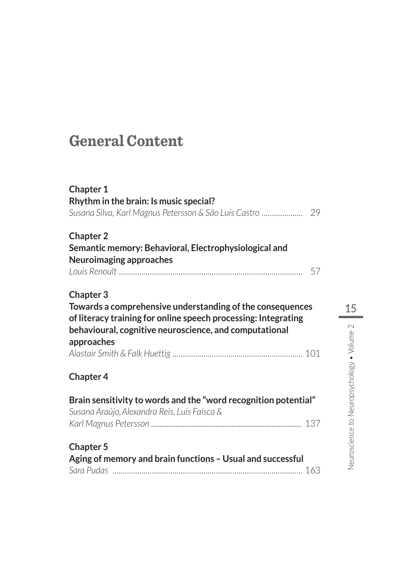# **General Content**

| <b>Chapter 1</b>                                                |    |
|-----------------------------------------------------------------|----|
| Rhythm in the brain: Is music special?                          |    |
|                                                                 |    |
| <b>Chapter 2</b>                                                |    |
| Semantic memory: Behavioral, Electrophysiological and           |    |
| Neuroimaging approaches                                         |    |
|                                                                 | 57 |
| <b>Chapter 3</b>                                                |    |
| Towards a comprehensive understanding of the consequences       |    |
| of literacy training for online speech processing: Integrating  |    |
| behavioural, cognitive neuroscience, and computational          |    |
| approaches                                                      |    |
|                                                                 |    |
| <b>Chapter 4</b>                                                |    |
| Brain sensitivity to words and the "word recognition potential" |    |
| Susana Araújo, Alexandra Reis, Luís Faísca &                    |    |
|                                                                 |    |
| <b>Chapter 5</b>                                                |    |
| Aging of memory and brain functions - Usual and successful      |    |
|                                                                 |    |
|                                                                 |    |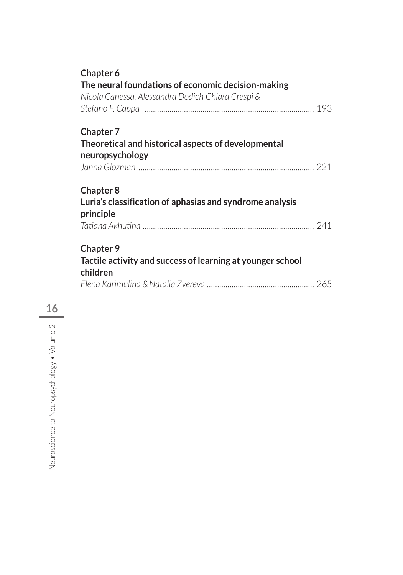| Chapter 6                                                  |  |
|------------------------------------------------------------|--|
| The neural foundations of economic decision-making         |  |
| Nicola Canessa, Alessandra Dodich Chiara Crespi &          |  |
|                                                            |  |
| <b>Chapter 7</b>                                           |  |
| Theoretical and historical aspects of developmental        |  |
| neuropsychology                                            |  |
|                                                            |  |
| <b>Chapter 8</b>                                           |  |
| Luria's classification of aphasias and syndrome analysis   |  |
| principle                                                  |  |
|                                                            |  |
| <b>Chapter 9</b>                                           |  |
| Tactile activity and success of learning at younger school |  |
| children                                                   |  |
|                                                            |  |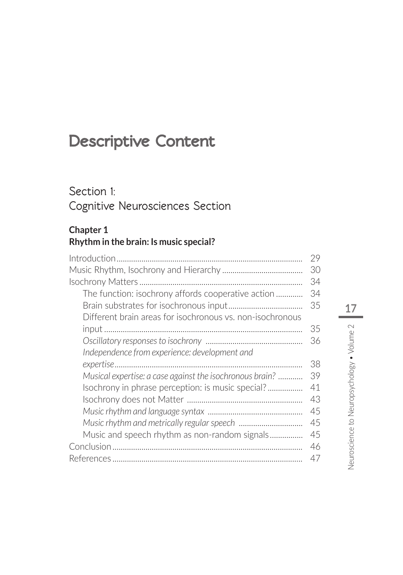# **Descriptive Content**

# **Section 1: Cognitive Neurosciences Section**

#### **Chapter 1 Rhythm in the brain: Is music special?**

|                                                           | 29        |
|-----------------------------------------------------------|-----------|
|                                                           | 30        |
| Isochrony Matters                                         | 34        |
| The function: isochrony affords cooperative action        | 34        |
|                                                           | 35        |
| Different brain areas for isochronous vs. non-isochronous |           |
|                                                           | 35        |
|                                                           | 36        |
| Independence from experience: development and             |           |
|                                                           | 38        |
| Musical expertise: a case against the isochronous brain?  | 39        |
| Isochrony in phrase perception: is music special?         | 41        |
|                                                           | 43        |
|                                                           | 45        |
|                                                           | 45        |
| Music and speech rhythm as non-random signals             | 45        |
| Conclusion                                                | 46        |
| References                                                | $\Delta/$ |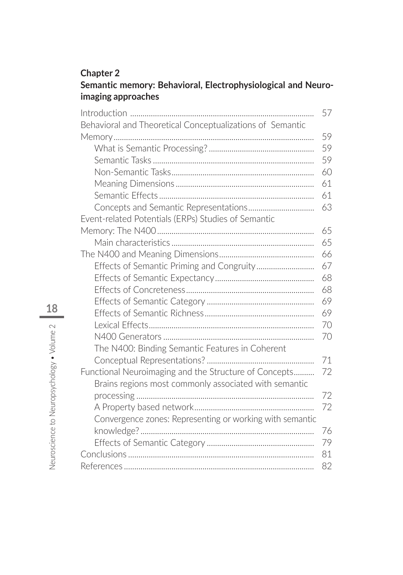#### **Chapter 2 Semantic memory: Behavioral, Electrophysiological and Neuroimaging approaches**

|                                                           | 57 |
|-----------------------------------------------------------|----|
| Behavioral and Theoretical Conceptualizations of Semantic |    |
|                                                           | 59 |
|                                                           | 59 |
|                                                           | 59 |
|                                                           | 60 |
|                                                           | 61 |
|                                                           | 61 |
|                                                           | 63 |
| Event-related Potentials (ERPs) Studies of Semantic       |    |
|                                                           | 65 |
|                                                           | 65 |
|                                                           | 66 |
| Effects of Semantic Priming and Congruity                 | 67 |
|                                                           | 68 |
|                                                           | 68 |
|                                                           | 69 |
|                                                           | 69 |
|                                                           | 70 |
|                                                           | 70 |
| The N400: Binding Semantic Features in Coherent           |    |
|                                                           | 71 |
| Functional Neuroimaging and the Structure of Concepts     | 72 |
| Brains regions most commonly associated with semantic     |    |
|                                                           | 72 |
|                                                           | 72 |
| Convergence zones: Representing or working with semantic  |    |
|                                                           | 76 |
|                                                           | 79 |
|                                                           | 81 |
|                                                           | 82 |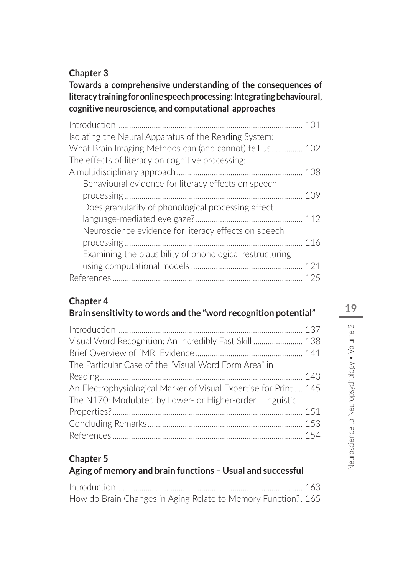### **Chapter 3**

### **Towards a comprehensive understanding of the consequences of literacy training for online speech processing: Integrating behavioural, cognitive neuroscience, and computational approaches**

| 101                                                      |  |
|----------------------------------------------------------|--|
| Isolating the Neural Apparatus of the Reading System:    |  |
| What Brain Imaging Methods can (and cannot) tell us 102  |  |
| The effects of literacy on cognitive processing:         |  |
| 108                                                      |  |
| Behavioural evidence for literacy effects on speech      |  |
| 109                                                      |  |
| Does granularity of phonological processing affect       |  |
| 112                                                      |  |
| Neuroscience evidence for literacy effects on speech     |  |
| 116                                                      |  |
| Examining the plausibility of phonological restructuring |  |
| 121                                                      |  |
| 125                                                      |  |

## **Chapter 4**

## **Brain sensitivity to words and the "word recognition potential"**

| Visual Word Recognition: An Incredibly Fast Skill 138             |  |
|-------------------------------------------------------------------|--|
| The Particular Case of the "Visual Word Form Area" in             |  |
|                                                                   |  |
| An Electrophysiological Marker of Visual Expertise for Print  145 |  |
| The N170: Modulated by Lower- or Higher-order Linguistic          |  |
|                                                                   |  |
|                                                                   |  |
|                                                                   |  |

#### **Chapter 5 Aging of memory and brain functions – Usual and successful**

| How do Brain Changes in Aging Relate to Memory Function?. 165 |  |
|---------------------------------------------------------------|--|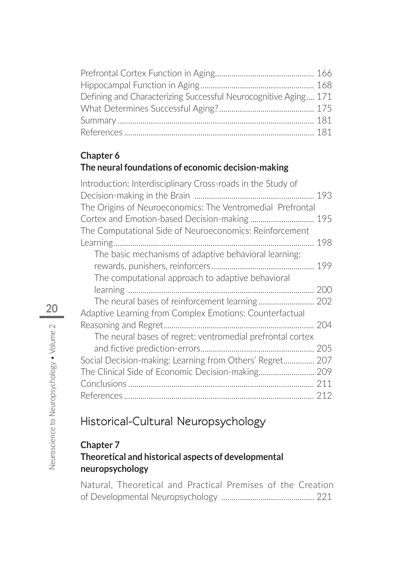| Defining and Characterizing Successful Neurocognitive Aging 171 |  |
|-----------------------------------------------------------------|--|
|                                                                 |  |
|                                                                 |  |
|                                                                 |  |

## **Chapter 6 The neural foundations of economic decision-making**

| Introduction: Interdisciplinary Cross-roads in the Study of<br>The Origins of Neuroeconomics: The Ventromedial Prefrontal |
|---------------------------------------------------------------------------------------------------------------------------|
|                                                                                                                           |
|                                                                                                                           |
| Cortex and Emotion-based Decision-making 195                                                                              |
| The Computational Side of Neuroeconomics: Reinforcement                                                                   |
|                                                                                                                           |
| Learning<br>198                                                                                                           |
| The basic mechanisms of adaptive behavioral learning:                                                                     |
|                                                                                                                           |
| The computational approach to adaptive behavioral                                                                         |
| 200                                                                                                                       |
|                                                                                                                           |
| Adaptive Learning from Complex Emotions: Counterfactual                                                                   |
| 204                                                                                                                       |
| The neural bases of regret: ventromedial prefrontal cortex                                                                |
| 205                                                                                                                       |
| Social Decision-making: Learning from Others' Regret<br>207                                                               |
| The Clinical Side of Economic Decision-making 209                                                                         |
| 211                                                                                                                       |
|                                                                                                                           |

# **Historical-Cultural Neuropsychology**

### **Chapter 7 Theoretical and historical aspects of developmental neuropsychology**

Natural, Theoretical and Practical Premises of the Creation of Developmental Neuropsychology ............................................. 221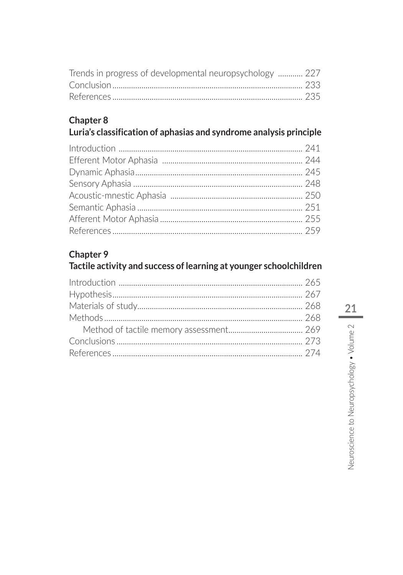| Trends in progress of developmental neuropsychology  227 |  |
|----------------------------------------------------------|--|
|                                                          |  |
|                                                          |  |

## Chapter 8

# Luria's classification of aphasias and syndrome analysis principle

# Chapter 9

## Tactile activity and success of learning at younger schoolchildren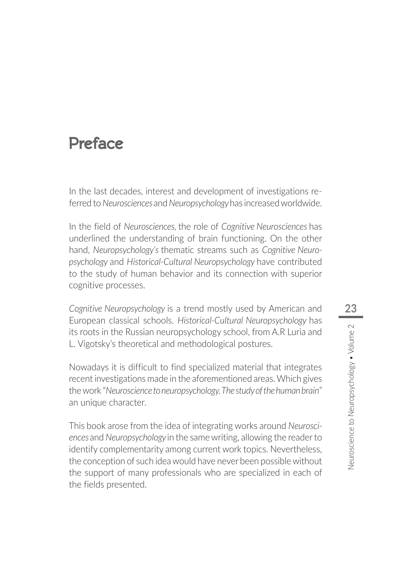# **Preface**

In the last decades, interest and development of investigations referred to *Neurosciences* and *Neuropsychology* has increased worldwide.

In the field of *Neurosciences,* the role of *Cognitive Neurosciences* has underlined the understanding of brain functioning. On the other hand, *Neuropsychology's* thematic streams such as *Cognitive Neuropsychology* and *Historical-Cultural Neuropsychology* have contributed to the study of human behavior and its connection with superior cognitive processes.

*Cognitive Neuropsychology* is a trend mostly used by American and European classical schools. *Historical-Cultural Neuropsychology* has its roots in the Russian neuropsychology school, from A.R Luria and L. Vigotsky's theoretical and methodological postures.

Nowadays it is difficult to find specialized material that integrates recent investigations made in the aforementioned areas. Which gives the work "*Neuroscience to neuropsychology. The study of the human brain*" an unique character.

This book arose from the idea of integrating works around *Neurosciences* and *Neuropsychology* in the same writing, allowing the reader to identify complementarity among current work topics. Nevertheless, the conception of such idea would have never been possible without the support of many professionals who are specialized in each of the fields presented.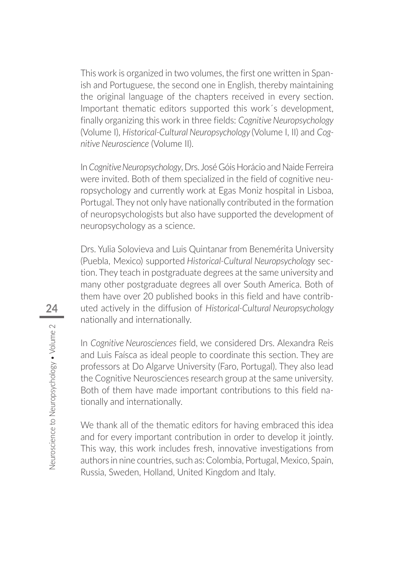This work is organized in two volumes, the first one written in Spanish and Portuguese, the second one in English, thereby maintaining the original language of the chapters received in every section. Important thematic editors supported this work´s development, finally organizing this work in three fields: *Cognitive Neuropsychology*  (Volume I), *Historical-Cultural Neuropsychology* (Volume I, II) and *Cognitive Neuroscience* (Volume II).

In *Cognitive Neuropsychology*, Drs. José Góis Horácio and Naide Ferreira were invited. Both of them specialized in the field of cognitive neuropsychology and currently work at Egas Moniz hospital in Lisboa, Portugal. They not only have nationally contributed in the formation of neuropsychologists but also have supported the development of neuropsychology as a science.

Drs. Yulia Solovieva and Luis Quintanar from Benemérita University (Puebla, Mexico) supported *Historical-Cultural Neuropsychology* section. They teach in postgraduate degrees at the same university and many other postgraduate degrees all over South America. Both of them have over 20 published books in this field and have contributed actively in the diffusion of *Historical-Cultural Neuropsychology*  nationally and internationally.

In *Cognitive Neurosciences* field, we considered Drs. Alexandra Reis and Luis Faísca as ideal people to coordinate this section. They are professors at Do Algarve University (Faro, Portugal). They also lead the Cognitive Neurosciences research group at the same university. Both of them have made important contributions to this field nationally and internationally.

We thank all of the thematic editors for having embraced this idea and for every important contribution in order to develop it jointly. This way, this work includes fresh, innovative investigations from authors in nine countries, such as: Colombia, Portugal, Mexico, Spain, Russia, Sweden, Holland, United Kingdom and Italy.